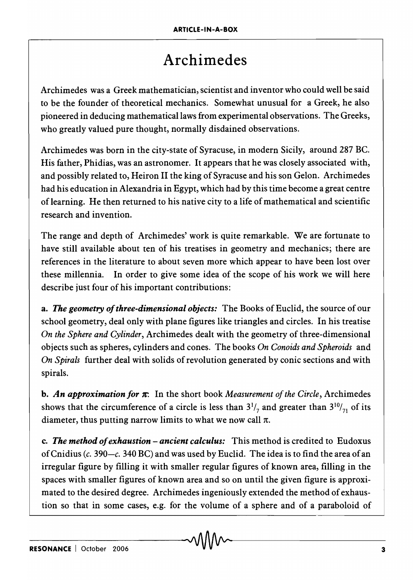## Archimedes

Archimedes was a Greek mathematician, scientist and inventor who could well be said to be the founder of theoretical mechanics. Somewhat unusual for a Greek, he also pioneered in deducing mathematical laws from experimental observations. The Greeks, who greatly valued pure thought, normally disdained observations.

Archimedes was born in the city-state of Syracuse, in modern Sicily, around 287 BC. His father, Phidias, was an astronomer. It appears that he was closely associated with, and possibly related to, Heiron II the king of Syracuse and his son Gelon. Archimedes had his education in Alexandria in Egypt, which had by this time become a great centre of learning. He then returned to his native city to a life of mathematical and scientific research and invention.

The range and depth of Archimedes' work is quite remarkable. We are fortunate to have still available about ten of his treatises in geometry and mechanics; there are references in the literature to about seven more which appear to have been lost over these millennia. In order to give some idea of the scope of his work we will here describe just four of his important contributions:

a. *The geometry of three-dimensional objects:* The Books of Euclid, the source of our school geometry, deal only with plane figures like triangles and circles. In his treatise *On the Sphere and Cylinder,* Archimedes dealt with the geometry of three-dimensional objects such as spheres, cylinders and cones. The books *On Conoids and Spheroids* and *On Spirals* further deal with solids of revolution generated by conic sections and with spirals.

**b.** An approximation for  $\pi$ : In the short book *Measurement of the Circle*, Archimedes shows that the circumference of a circle is less than  $3^{1/7}$  and greater than  $3^{10/7}$  of its diameter, thus putting narrow limits to what we now call  $\pi$ .

c. *The method of exhaustion – ancient calculus:* This method is credited to Eudoxus of Cnidius  $(c. 390-c. 340 \,\text{BC})$  and was used by Euclid. The idea is to find the area of an irregular figure by filling it with smaller regular figures of known area, filling in the spaces with smaller figures of known area and so on until the given figure is approximated to the desired degree. Archimedes ingeniously extended the method of exhaustion so that in some cases, e.g. for the volume of a sphere and of a paraboloid of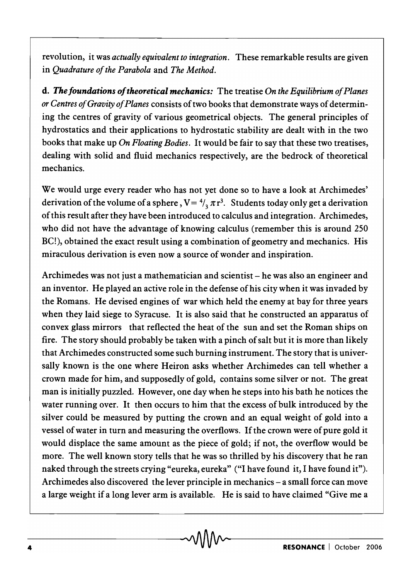revolution, it was *actually equivalent to integration.* These remarkable results are given in *Quadrature of the Parabola* and *The Method.* 

d. *The foundations of theoretical mechanics:* The treatise *On the Equilibrium of Planes or Centres of Gravity of Planes* consists of two books that demonstrate ways of determining the centres of gravity of various geometrical objects. The general principles of hydrostatics and their applications to hydrostatic stability are dealt with in the two books that make up *On Floating Bodies.* It would be fair to say that these two treatises, dealing with solid and fluid mechanics respectively, are the bedrock of theoretical mechanics.

We would urge every reader who has not yet done so to have a look at Archimedes' derivation of the volume of a sphere,  $V = \frac{4}{3} \pi r^3$ . Students today only get a derivation of this result after they have been introduced to calculus and integration. Archimedes, who did not have the advantage of knowing calculus (remember this is around 250 BC!), obtained the exact result using a combination of geometry and mechanics. His miraculous derivation is even now a source of wonder and inspiration.

Archimedes was not just a mathematician and scientist - he was also an engineer and an inventor. He played an active role in the defense of his city when it was invaded by the Romans. He devised engines of war which held the enemy at bay for three years when they laid siege to Syracuse. It is also said that he constructed an apparatus of convex glass mirrors that reflected the heat of the sun and set the Roman ships on fire. The story should probably be taken with a pinch of salt but it is more than likely that Archimedes constructed some such burning instrument. The story that is universally known is the one where Heiron asks whether Archimedes can tell whether a crown made for him, and supposedly of gold, contains some silver or not. The great man is initially puzzled. However, one day when he steps into his bath he notices the water running over. It then occurs to him that the excess of bulk introduced by the silver could be measured by putting the crown and an equal weight of gold into a vessel of water in turn and measuring the overflows. If the crown were of pure gold it would displace the same amount as the piece of gold; if not, the overflow would be more. The well known story tells that he was so thrilled by his discovery that he ran naked through the streets crying "eureka, eureka" ("I have found it, I have found it"). Archimedes also discovered the lever principle in mechanics - a small force can move a large weight if a long lever arm is available. He is said to have claimed "Give me a